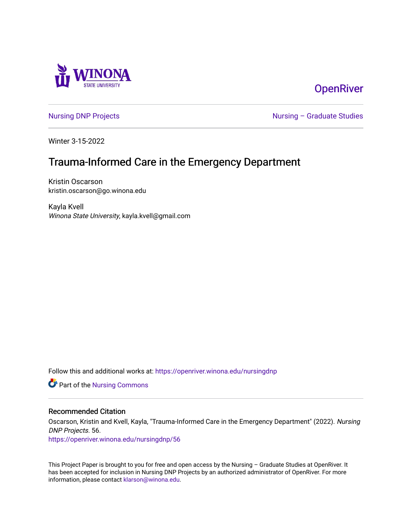

# **OpenRiver**

[Nursing DNP Projects](https://openriver.winona.edu/nursingdnp) **Nursing – Graduate Studies** 

Winter 3-15-2022

# Trauma-Informed Care in the Emergency Department

Kristin Oscarson kristin.oscarson@go.winona.edu

Kayla Kvell Winona State University, kayla.kvell@gmail.com

Follow this and additional works at: [https://openriver.winona.edu/nursingdnp](https://openriver.winona.edu/nursingdnp?utm_source=openriver.winona.edu%2Fnursingdnp%2F56&utm_medium=PDF&utm_campaign=PDFCoverPages) 

Part of the [Nursing Commons](http://network.bepress.com/hgg/discipline/718?utm_source=openriver.winona.edu%2Fnursingdnp%2F56&utm_medium=PDF&utm_campaign=PDFCoverPages) 

### Recommended Citation

Oscarson, Kristin and Kvell, Kayla, "Trauma-Informed Care in the Emergency Department" (2022). Nursing DNP Projects. 56.

[https://openriver.winona.edu/nursingdnp/56](https://openriver.winona.edu/nursingdnp/56?utm_source=openriver.winona.edu%2Fnursingdnp%2F56&utm_medium=PDF&utm_campaign=PDFCoverPages)

This Project Paper is brought to you for free and open access by the Nursing – Graduate Studies at OpenRiver. It has been accepted for inclusion in Nursing DNP Projects by an authorized administrator of OpenRiver. For more information, please contact [klarson@winona.edu](mailto:klarson@winona.edu).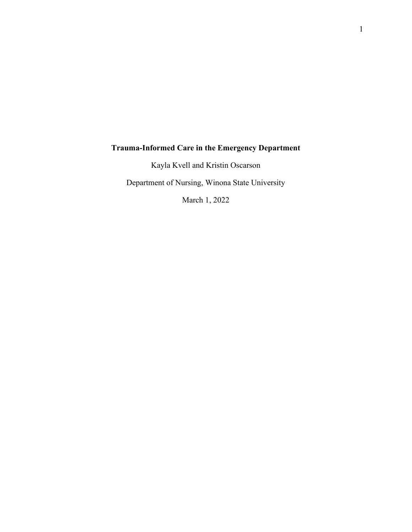# **Trauma-Informed Care in the Emergency Department**

Kayla Kvell and Kristin Oscarson

Department of Nursing, Winona State University

March 1, 2022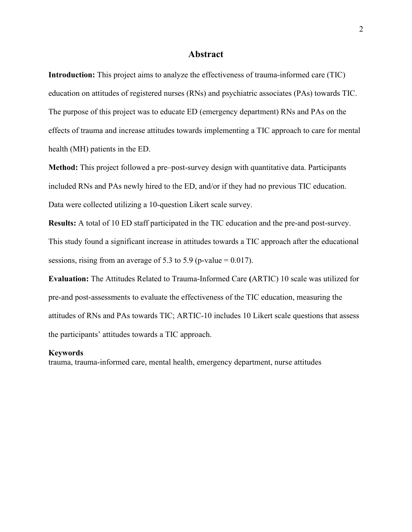### **Abstract**

**Introduction:** This project aims to analyze the effectiveness of trauma-informed care (TIC) education on attitudes of registered nurses (RNs) and psychiatric associates (PAs) towards TIC. The purpose of this project was to educate ED (emergency department) RNs and PAs on the effects of trauma and increase attitudes towards implementing a TIC approach to care for mental health (MH) patients in the ED.

**Method:** This project followed a pre–post-survey design with quantitative data. Participants included RNs and PAs newly hired to the ED, and/or if they had no previous TIC education. Data were collected utilizing a 10-question Likert scale survey.

**Results:** A total of 10 ED staff participated in the TIC education and the pre-and post-survey. This study found a significant increase in attitudes towards a TIC approach after the educational sessions, rising from an average of 5.3 to 5.9 (p-value =  $0.017$ ).

**Evaluation:** The Attitudes Related to Trauma-Informed Care **(**ARTIC) 10 scale was utilized for pre-and post-assessments to evaluate the effectiveness of the TIC education, measuring the attitudes of RNs and PAs towards TIC; ARTIC-10 includes 10 Likert scale questions that assess the participants' attitudes towards a TIC approach.

### **Keywords**

trauma, trauma-informed care, mental health, emergency department, nurse attitudes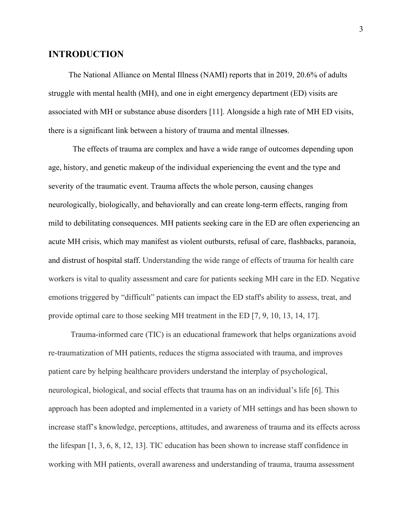## **INTRODUCTION**

 The National Alliance on Mental Illness (NAMI) reports that in 2019, 20.6% of adults struggle with mental health (MH), and one in eight emergency department (ED) visits are associated with MH or substance abuse disorders [11]. Alongside a high rate of MH ED visits, there is a significant link between a history of trauma and mental illnesses.

 The effects of trauma are complex and have a wide range of outcomes depending upon age, history, and genetic makeup of the individual experiencing the event and the type and severity of the traumatic event. Trauma affects the whole person, causing changes neurologically, biologically, and behaviorally and can create long-term effects, ranging from mild to debilitating consequences. MH patients seeking care in the ED are often experiencing an acute MH crisis, which may manifest as violent outbursts, refusal of care, flashbacks, paranoia, and distrust of hospital staff. Understanding the wide range of effects of trauma for health care workers is vital to quality assessment and care for patients seeking MH care in the ED. Negative emotions triggered by "difficult" patients can impact the ED staff's ability to assess, treat, and provide optimal care to those seeking MH treatment in the ED [7, 9, 10, 13, 14, 17].

 Trauma-informed care (TIC) is an educational framework that helps organizations avoid re-traumatization of MH patients, reduces the stigma associated with trauma, and improves patient care by helping healthcare providers understand the interplay of psychological, neurological, biological, and social effects that trauma has on an individual's life [6]. This approach has been adopted and implemented in a variety of MH settings and has been shown to increase staff's knowledge, perceptions, attitudes, and awareness of trauma and its effects across the lifespan [1, 3, 6, 8, 12, 13]. TIC education has been shown to increase staff confidence in working with MH patients, overall awareness and understanding of trauma, trauma assessment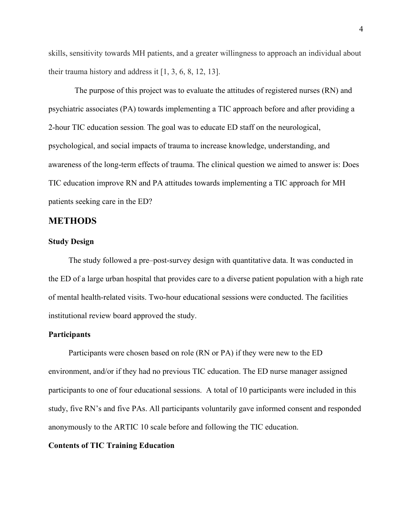skills, sensitivity towards MH patients, and a greater willingness to approach an individual about their trauma history and address it [1, 3, 6, 8, 12, 13].

 The purpose of this project was to evaluate the attitudes of registered nurses (RN) and psychiatric associates (PA) towards implementing a TIC approach before and after providing a 2-hour TIC education session. The goal was to educate ED staff on the neurological, psychological, and social impacts of trauma to increase knowledge, understanding, and awareness of the long-term effects of trauma. The clinical question we aimed to answer is: Does TIC education improve RN and PA attitudes towards implementing a TIC approach for MH patients seeking care in the ED?

# **METHODS**

### **Study Design**

 The study followed a pre–post-survey design with quantitative data. It was conducted in the ED of a large urban hospital that provides care to a diverse patient population with a high rate of mental health-related visits. Two-hour educational sessions were conducted. The facilities institutional review board approved the study.

### **Participants**

 Participants were chosen based on role (RN or PA) if they were new to the ED environment, and/or if they had no previous TIC education. The ED nurse manager assigned participants to one of four educational sessions. A total of 10 participants were included in this study, five RN's and five PAs. All participants voluntarily gave informed consent and responded anonymously to the ARTIC 10 scale before and following the TIC education.

### **Contents of TIC Training Education**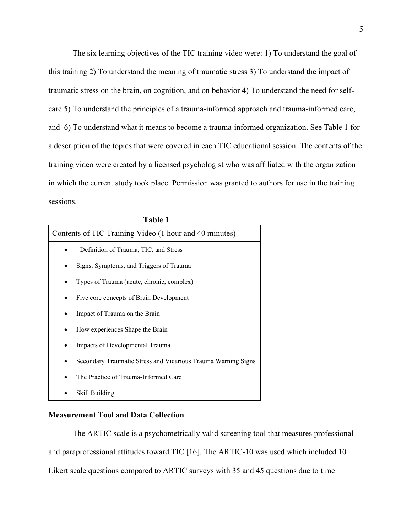The six learning objectives of the TIC training video were: 1) To understand the goal of this training 2) To understand the meaning of traumatic stress 3) To understand the impact of traumatic stress on the brain, on cognition, and on behavior 4) To understand the need for selfcare 5) To understand the principles of a trauma-informed approach and trauma-informed care, and 6) To understand what it means to become a trauma-informed organization. See Table 1 for a description of the topics that were covered in each TIC educational session. The contents of the training video were created by a licensed psychologist who was affiliated with the organization in which the current study took place. Permission was granted to authors for use in the training sessions.

| <b>Table 1</b>                                                |  |  |
|---------------------------------------------------------------|--|--|
| Contents of TIC Training Video (1 hour and 40 minutes)        |  |  |
| Definition of Trauma, TIC, and Stress                         |  |  |
| Signs, Symptoms, and Triggers of Trauma                       |  |  |
| Types of Trauma (acute, chronic, complex)                     |  |  |
| Five core concepts of Brain Development                       |  |  |
| Impact of Trauma on the Brain                                 |  |  |
| How experiences Shape the Brain                               |  |  |
| Impacts of Developmental Trauma                               |  |  |
| Secondary Traumatic Stress and Vicarious Trauma Warning Signs |  |  |
| The Practice of Trauma-Informed Care                          |  |  |
| Skill Building                                                |  |  |

### **Measurement Tool and Data Collection**

The ARTIC scale is a psychometrically valid screening tool that measures professional and paraprofessional attitudes toward TIC [16]. The ARTIC-10 was used which included 10 Likert scale questions compared to ARTIC surveys with 35 and 45 questions due to time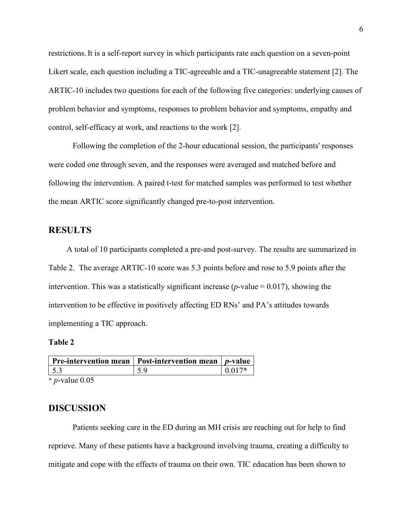restrictions.It is a self-report survey in which participants rate each question on a seven-point Likert scale, each question including a TIC-agreeable and a TIC-unagreeable statement [2]. The ARTIC-10 includes two questions for each of the following five categories: underlying causes of problem behavior and symptoms, responses to problem behavior and symptoms, empathy and control, self-efficacy at work, and reactions to the work [2].

Following the completion of the 2-hour educational session, the participants' responses were coded one through seven, and the responses were averaged and matched before and following the intervention. A paired t-test for matched samples was performed to test whether the mean ARTIC score significantly changed pre-to-post intervention.

# **RESULTS**

 A total of 10 participants completed a pre-and post-survey. The results are summarized in Table 2. The average ARTIC-10 score was 5.3 points before and rose to 5.9 points after the intervention. This was a statistically significant increase ( $p$ -value = 0.017), showing the intervention to be effective in positively affecting ED RNs' and PA's attitudes towards implementing a TIC approach.

### **Table 2**

|     | <b>Pre-intervention mean</b>   Post-intervention mean   $p$ -value |           |
|-----|--------------------------------------------------------------------|-----------|
| 5.3 | 5.9                                                                | $10.017*$ |

\* *p*-value 0.05

## **DISCUSSION**

Patients seeking care in the ED during an MH crisis are reaching out for help to find reprieve. Many of these patients have a background involving trauma, creating a difficulty to mitigate and cope with the effects of trauma on their own. TIC education has been shown to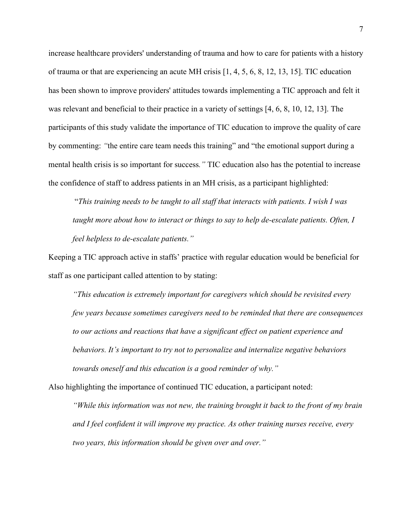increase healthcare providers' understanding of trauma and how to care for patients with a history of trauma or that are experiencing an acute MH crisis [1, 4, 5, 6, 8, 12, 13, 15]. TIC education has been shown to improve providers' attitudes towards implementing a TIC approach and felt it was relevant and beneficial to their practice in a variety of settings [4, 6, 8, 10, 12, 13]. The participants of this study validate the importance of TIC education to improve the quality of care by commenting: *"*the entire care team needs this training" and "the emotional support during a mental health crisis is so important for success*."* TIC education also has the potential to increase the confidence of staff to address patients in an MH crisis, as a participant highlighted:

"*This training needs to be taught to all staff that interacts with patients. I wish I was taught more about how to interact or things to say to help de-escalate patients. Often, I feel helpless to de-escalate patients."*

Keeping a TIC approach active in staffs' practice with regular education would be beneficial for staff as one participant called attention to by stating:

*"This education is extremely important for caregivers which should be revisited every few years because sometimes caregivers need to be reminded that there are consequences to our actions and reactions that have a significant effect on patient experience and behaviors. It's important to try not to personalize and internalize negative behaviors towards oneself and this education is a good reminder of why."*

Also highlighting the importance of continued TIC education, a participant noted:

*"While this information was not new, the training brought it back to the front of my brain and I feel confident it will improve my practice. As other training nurses receive, every two years, this information should be given over and over."*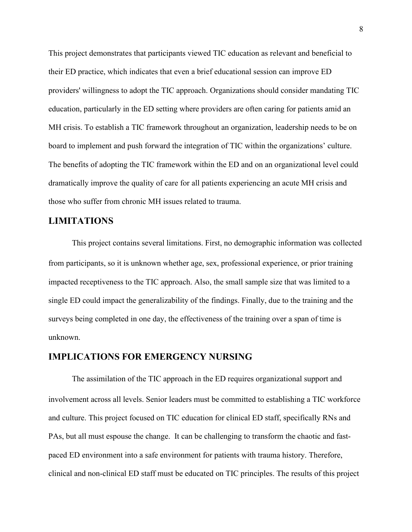This project demonstrates that participants viewed TIC education as relevant and beneficial to their ED practice, which indicates that even a brief educational session can improve ED providers' willingness to adopt the TIC approach. Organizations should consider mandating TIC education, particularly in the ED setting where providers are often caring for patients amid an MH crisis. To establish a TIC framework throughout an organization, leadership needs to be on board to implement and push forward the integration of TIC within the organizations' culture. The benefits of adopting the TIC framework within the ED and on an organizational level could dramatically improve the quality of care for all patients experiencing an acute MH crisis and those who suffer from chronic MH issues related to trauma.

# **LIMITATIONS**

This project contains several limitations. First, no demographic information was collected from participants, so it is unknown whether age, sex, professional experience, or prior training impacted receptiveness to the TIC approach. Also, the small sample size that was limited to a single ED could impact the generalizability of the findings. Finally, due to the training and the surveys being completed in one day, the effectiveness of the training over a span of time is unknown.

# **IMPLICATIONS FOR EMERGENCY NURSING**

The assimilation of the TIC approach in the ED requires organizational support and involvement across all levels. Senior leaders must be committed to establishing a TIC workforce and culture. This project focused on TIC education for clinical ED staff, specifically RNs and PAs, but all must espouse the change. It can be challenging to transform the chaotic and fastpaced ED environment into a safe environment for patients with trauma history. Therefore, clinical and non-clinical ED staff must be educated on TIC principles. The results of this project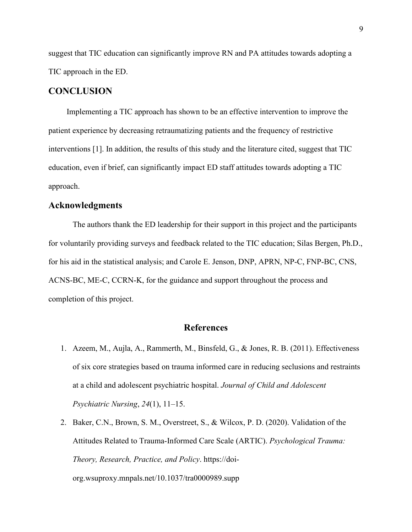suggest that TIC education can significantly improve RN and PA attitudes towards adopting a TIC approach in the ED.

# **CONCLUSION**

 Implementing a TIC approach has shown to be an effective intervention to improve the patient experience by decreasing retraumatizing patients and the frequency of restrictive interventions [1]. In addition, the results of this study and the literature cited, suggest that TIC education, even if brief, can significantly impact ED staff attitudes towards adopting a TIC approach.

### **Acknowledgments**

The authors thank the ED leadership for their support in this project and the participants for voluntarily providing surveys and feedback related to the TIC education; Silas Bergen, Ph.D., for his aid in the statistical analysis; and Carole E. Jenson, DNP, APRN, NP-C, FNP-BC, CNS, ACNS-BC, ME-C, CCRN-K, for the guidance and support throughout the process and completion of this project.

# **References**

- 1. Azeem, M., [Aujla, A., Rammerth, M., Binsfeld, G., & Jones, R. B. \(2011\). Effectiveness](https://www.perrlacomplete.com/App?encryptedPaperId=gPRIFKWzljKop_uP0wQgaQ==/)  [of six](https://www.perrlacomplete.com/App?encryptedPaperId=gPRIFKWzljKop_uP0wQgaQ==/) [core strategies based on trauma informed care in reducing seclusions and restraints](https://www.perrlacomplete.com/App?encryptedPaperId=gPRIFKWzljKop_uP0wQgaQ==/)  [at a child and adolescent psychiatric hospital.](https://www.perrlacomplete.com/App?encryptedPaperId=gPRIFKWzljKop_uP0wQgaQ==/) *Journal of Child and Adolescent [Psychiatric Nursing](https://www.perrlacomplete.com/App?encryptedPaperId=gPRIFKWzljKop_uP0wQgaQ==/)*, *24*(1), 11–15.
- 2. Baker, C.N., Brown, S. M., Overstreet, S., & Wilcox, P. D. (2020). Validation of the Attitudes Related to Trauma-Informed Care Scale (ARTIC). *Psychological Trauma: Theory, Research, Practice, and Policy*. https://doiorg.wsuproxy.mnpals.net/10.1037/tra0000989.supp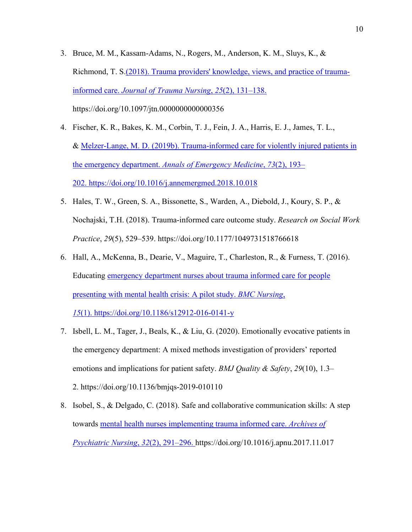- 3. [Bruce, M. M., Kassam-Adams, N., Rogers, M., Anderson, K. M., Sluys, K., &](https://www.perrlacomplete.com/App?encryptedPaperId=gPRIFKWzljKop_uP0wQgaQ==/)  [Richmond, T. S.](https://www.perrlacomplete.com/App?encryptedPaperId=gPRIFKWzljKop_uP0wQgaQ==/)(2018). Trauma providers' knowledge, views, and practice of traumainformed care. *Journal of Trauma Nursing*, *25*(2), 131–138. <https://doi.org/10.1097/jtn.0000000000000356>
- 4. [Fischer, K. R., Bakes, K. M., Corbin, T. J., Fein, J. A., Harris, E. J., James, T. L.,](https://www.perrlacomplete.com/App?encryptedPaperId=gPRIFKWzljKop_uP0wQgaQ==/)  [&](https://www.perrlacomplete.com/App?encryptedPaperId=gPRIFKWzljKop_uP0wQgaQ==/) Melzer-Lange, M. D. (2019b). Trauma-informed care for violently injured patients in the emergency department. *Annals of Emergency Medicine*, *73*(2), 193– 202. <https://doi.org/10.1016/j.annemergmed.2018.10.018>
- 5. Hales, T. W., Green, S. A., Bissonette, S., Warden, A., Diebold, J., Koury, S. P., & Nochajski, T.H. (2018). Trauma-informed care outcome study. *Research on Social Work Practice*, *29*(5), 529–539.<https://doi.org/10.1177/1049731518766618>
- 6. [Hall, A., McKenna, B., Dearie, V., Maguire, T., Charleston, R., & Furness, T. \(2016\).](https://www.perrlacomplete.com/App?encryptedPaperId=gPRIFKWzljKop_uP0wQgaQ==/)  [Educating](https://www.perrlacomplete.com/App?encryptedPaperId=gPRIFKWzljKop_uP0wQgaQ==/) emergency department nurses about trauma informed care for people presenting with mental health crisis: A pilot study. *BMC Nursing*,

*15*(1). <https://doi.org/10.1186/s12912-016-0141-y>

- 7. [Isbell, L. M., Tager, J., Beals, K., & Liu, G. \(2020\). Emotionally evocative patients in](https://www.perrlacomplete.com/App?encryptedPaperId=gPRIFKWzljKop_uP0wQgaQ==/)  [the](https://www.perrlacomplete.com/App?encryptedPaperId=gPRIFKWzljKop_uP0wQgaQ==/) emergency department: A mixed methods investigation of providers' reported emotions and implications for patient safety. *BMJ Quality & Safety*, *29*(10), 1.3– 2. <https://doi.org/10.1136/bmjqs-2019-010110>
- 8. [Isobel, S., & Delgado, C. \(2018\). Safe and collaborative communication skills: A step](https://www.perrlacomplete.com/App?encryptedPaperId=gPRIFKWzljKop_uP0wQgaQ==/)  [towards](https://www.perrlacomplete.com/App?encryptedPaperId=gPRIFKWzljKop_uP0wQgaQ==/) mental health nurses implementing trauma informed care. *Archives of Psychiatric Nursing*, *32*(2), 291–296.<https://doi.org/10.1016/j.apnu.2017.11.017>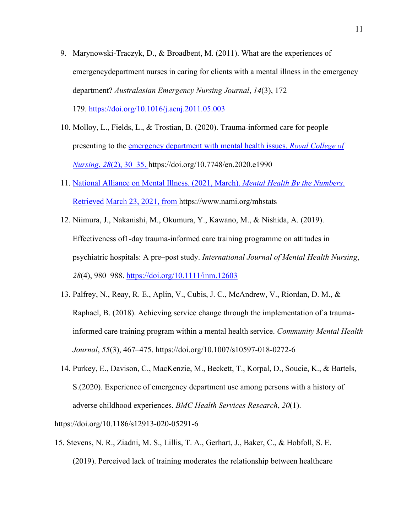- 9. [Marynowski-Traczyk, D., & Broadbent, M. \(2011\). What are the experiences of](https://www.perrlacomplete.com/App?encryptedPaperId=gPRIFKWzljKop_uP0wQgaQ==/)  [emergencydepartment nurses in caring for clients with a mental illness in the emergency](https://www.perrlacomplete.com/App?encryptedPaperId=gPRIFKWzljKop_uP0wQgaQ==/)  department? *[Australasian Emergency Nursing Journal](https://www.perrlacomplete.com/App?encryptedPaperId=gPRIFKWzljKop_uP0wQgaQ==/)*, *14*(3), 172– [179.](https://www.perrlacomplete.com/App?encryptedPaperId=gPRIFKWzljKop_uP0wQgaQ==/) <https://doi.org/10.1016/j.aenj.2011.05.003>
	-
- 10. [Molloy, L., Fields, L., & Trostian, B. \(2020\). Trauma-informed care for people](https://www.perrlacomplete.com/App?encryptedPaperId=gPRIFKWzljKop_uP0wQgaQ==/)  [presenting to the](https://www.perrlacomplete.com/App?encryptedPaperId=gPRIFKWzljKop_uP0wQgaQ==/) emergency department with mental health issues. *Royal College of Nursing*, *28*(2), 30–35. <https://doi.org/10.7748/en.2020.e1990>
- 11. National Alliance on Mental Illness. (2021, March). *Mental Health By the Numbers*. Retrieved March 23, 2021, from <https://www.nami.org/mhstats>
- 12. [Niimura, J., Nakanishi, M., Okumura, Y., Kawano, M., & Nishida, A. \(2019\).](https://www.perrlacomplete.com/App?encryptedPaperId=gPRIFKWzljKop_uP0wQgaQ==/)  [Effectiveness of](https://www.perrlacomplete.com/App?encryptedPaperId=gPRIFKWzljKop_uP0wQgaQ==/)[1‐day trauma‐informed care training programme on attitudes in](https://www.perrlacomplete.com/App?encryptedPaperId=gPRIFKWzljKop_uP0wQgaQ==/)  psychiatric hospitals: A pre–post study. *[International Journal of Mental Health Nursing](https://www.perrlacomplete.com/App?encryptedPaperId=gPRIFKWzljKop_uP0wQgaQ==/)*, *28*[\(4\), 980–988.](https://www.perrlacomplete.com/App?encryptedPaperId=gPRIFKWzljKop_uP0wQgaQ==/) <https://doi.org/10.1111/inm.12603>
- 13. [Palfrey, N., Reay, R. E., Aplin, V., Cubis, J. C., McAndrew, V., Riordan, D. M., &](https://www.perrlacomplete.com/App?encryptedPaperId=gPRIFKWzljKop_uP0wQgaQ==/)  [Raphael, B.](https://www.perrlacomplete.com/App?encryptedPaperId=gPRIFKWzljKop_uP0wQgaQ==/) [\(2018\). Achieving service change through the implementation of a trauma](https://www.perrlacomplete.com/App?encryptedPaperId=gPRIFKWzljKop_uP0wQgaQ==/)[informed care training program within a mental health service.](https://www.perrlacomplete.com/App?encryptedPaperId=gPRIFKWzljKop_uP0wQgaQ==/) *Community Mental Health Journal*, *55*[\(3\), 467–475.](https://www.perrlacomplete.com/App?encryptedPaperId=gPRIFKWzljKop_uP0wQgaQ==/) <https://doi.org/10.1007/s10597-018-0272-6>
- 14. [Purkey, E., Davison, C., MacKenzie, M., Beckett, T., Korpal, D., Soucie, K., & Bartels,](https://www.perrlacomplete.com/App?encryptedPaperId=gPRIFKWzljKop_uP0wQgaQ==/)  [S.\(2020\). Experience of emergency department use among persons with a history of](https://www.perrlacomplete.com/App?encryptedPaperId=gPRIFKWzljKop_uP0wQgaQ==/)  [adverse childhood experiences.](https://www.perrlacomplete.com/App?encryptedPaperId=gPRIFKWzljKop_uP0wQgaQ==/) *BMC Health Services Research*, *20*(1).

<https://doi.org/10.1186/s12913-020-05291-6>

15. [Stevens, N. R., Ziadni, M. S., Lillis, T. A., Gerhart, J., Baker, C., & Hobfoll, S. E.](https://www.perrlacomplete.com/App?encryptedPaperId=gPRIFKWzljKop_uP0wQgaQ==/)  [\(2019\).](https://www.perrlacomplete.com/App?encryptedPaperId=gPRIFKWzljKop_uP0wQgaQ==/) [Perceived lack of training moderates the relationship between healthcare](https://www.perrlacomplete.com/App?encryptedPaperId=gPRIFKWzljKop_uP0wQgaQ==/)